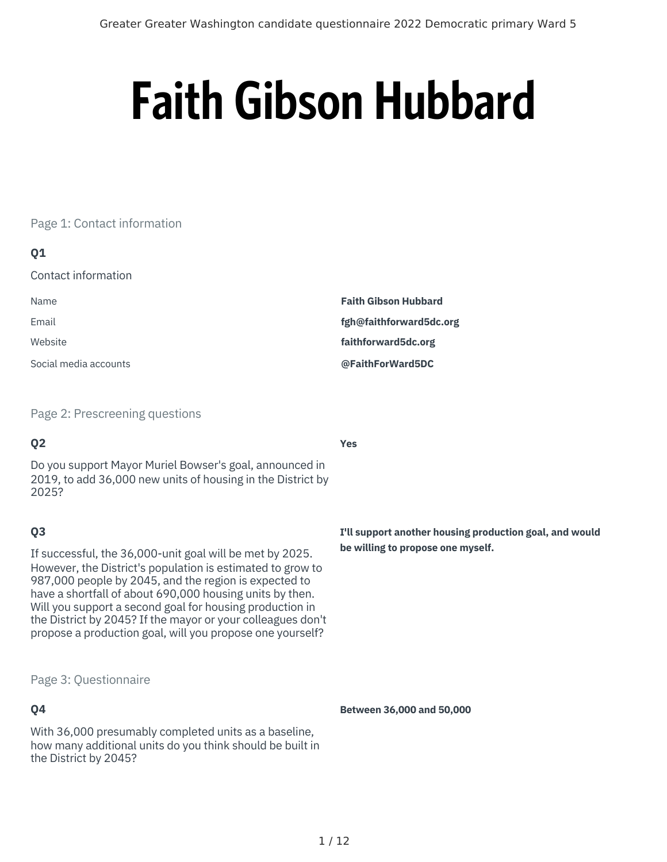# **Faith Gibson Hubbard**

## Page 1: Contact information

## **Q1**

Contact information

| Name                  | <b>Faith Gibson Hubbard</b> |
|-----------------------|-----------------------------|
| Email                 | fgh@faithforward5dc.org     |
| Website               | faithforward5dc.org         |
| Social media accounts | @FaithForWard5DC            |

Page 2: Prescreening questions

# **Q2**

Do you support Mayor Muriel Bowser's goal, announced in 2019, to add 36,000 new units of housing in the District by 2025?

# **Q3**

If successful, the 36,000-unit goal will be met by 2025. However, the District's population is estimated to grow to 987,000 people by 2045, and the region is expected to have a shortfall of about 690,000 housing units by then. Will you support a second goal for housing production in the District by 2045? If the mayor or your colleagues don't propose a production goal, will you propose one yourself?

#### Page 3: Questionnaire

# **Q4**

With 36,000 presumably completed units as a baseline, how many additional units do you think should be built in the District by 2045?

**Yes**

**I'll support another housing production goal, and would be willing to propose one myself.**

**Between 36,000 and 50,000**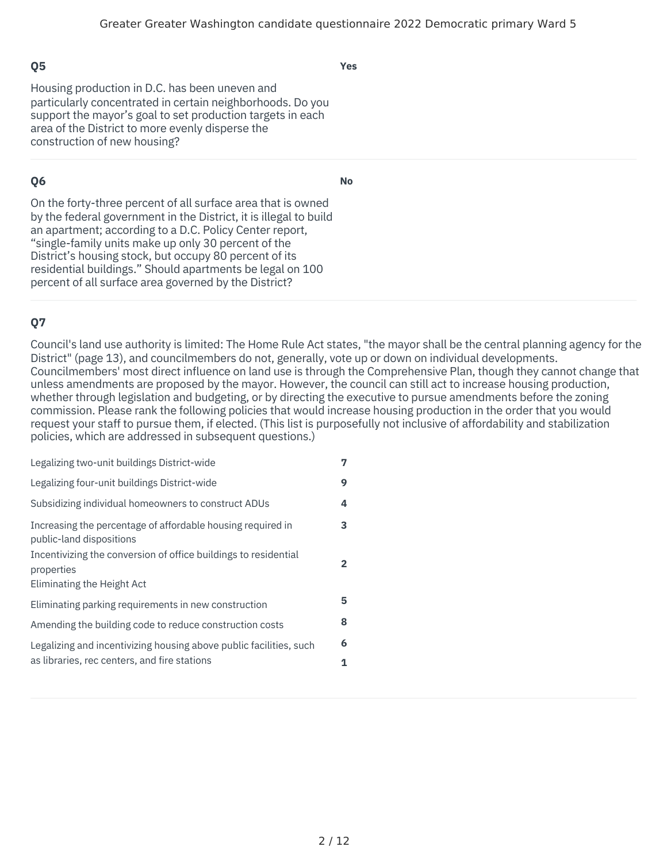**Yes**

Housing production in D.C. has been uneven and particularly concentrated in certain neighborhoods. Do you support the mayor's goal to set production targets in each area of the District to more evenly disperse the construction of new housing?

# **Q6**

**No**

On the forty-three percent of all surface area that is owned by the federal government in the District, it is illegal to build an apartment; according to a D.C. Policy Center report, "single-family units make up only 30 percent of the District's housing stock, but occupy 80 percent of its residential buildings." Should apartments be legal on 100 percent of all surface area governed by the District?

# **Q7**

Council's land use authority is limited: The Home Rule Act states, "the mayor shall be the central planning agency for the District" (page 13), and councilmembers do not, generally, vote up or down on individual developments. Councilmembers' most direct influence on land use is through the Comprehensive Plan, though they cannot change that unless amendments are proposed by the mayor. However, the council can still act to increase housing production, whether through legislation and budgeting, or by directing the executive to pursue amendments before the zoning commission. Please rank the following policies that would increase housing production in the order that you would request your staff to pursue them, if elected. (This list is purposefully not inclusive of affordability and stabilization policies, which are addressed in subsequent questions.)

| Legalizing two-unit buildings District-wide                                                                 | 7            |
|-------------------------------------------------------------------------------------------------------------|--------------|
| Legalizing four-unit buildings District-wide                                                                | 9            |
| Subsidizing individual homeowners to construct ADUs                                                         | 4            |
| Increasing the percentage of affordable housing required in<br>public-land dispositions                     | 3            |
| Incentivizing the conversion of office buildings to residential<br>properties<br>Eliminating the Height Act | $\mathbf{2}$ |
| Eliminating parking requirements in new construction                                                        | 5            |
| Amending the building code to reduce construction costs                                                     | 8            |
| Legalizing and incentivizing housing above public facilities, such                                          | 6            |
| as libraries, rec centers, and fire stations                                                                | 1            |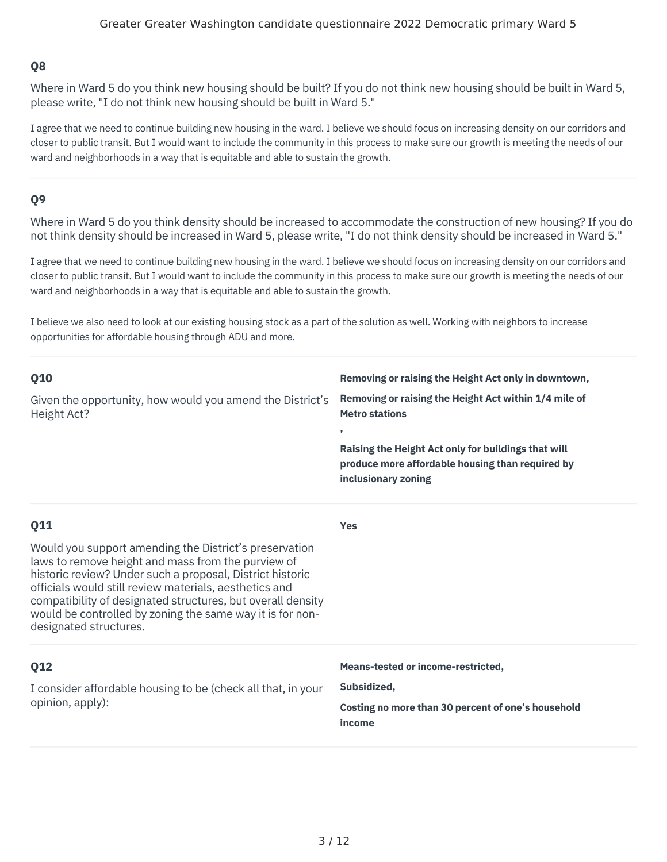Where in Ward 5 do you think new housing should be built? If you do not think new housing should be built in Ward 5, please write, "I do not think new housing should be built in Ward 5."

I agree that we need to continue building new housing in the ward. I believe we should focus on increasing density on our corridors and closer to public transit. But I would want to include the community in this process to make sure our growth is meeting the needs of our ward and neighborhoods in a way that is equitable and able to sustain the growth.

## **Q9**

Where in Ward 5 do you think density should be increased to accommodate the construction of new housing? If you do not think density should be increased in Ward 5, please write, "I do not think density should be increased in Ward 5."

I agree that we need to continue building new housing in the ward. I believe we should focus on increasing density on our corridors and closer to public transit. But I would want to include the community in this process to make sure our growth is meeting the needs of our ward and neighborhoods in a way that is equitable and able to sustain the growth.

I believe we also need to look at our existing housing stock as a part of the solution as well. Working with neighbors to increase opportunities for affordable housing through ADU and more.

| Q10<br>Given the opportunity, how would you amend the District's<br>Height Act?                                                                                                                                                                                                                                                                                                                  | Removing or raising the Height Act only in downtown,<br>Removing or raising the Height Act within 1/4 mile of<br><b>Metro stations</b><br>,<br>Raising the Height Act only for buildings that will<br>produce more affordable housing than required by<br>inclusionary zoning |
|--------------------------------------------------------------------------------------------------------------------------------------------------------------------------------------------------------------------------------------------------------------------------------------------------------------------------------------------------------------------------------------------------|-------------------------------------------------------------------------------------------------------------------------------------------------------------------------------------------------------------------------------------------------------------------------------|
| Q11<br>Would you support amending the District's preservation<br>laws to remove height and mass from the purview of<br>historic review? Under such a proposal, District historic<br>officials would still review materials, aesthetics and<br>compatibility of designated structures, but overall density<br>would be controlled by zoning the same way it is for non-<br>designated structures. | <b>Yes</b>                                                                                                                                                                                                                                                                    |
| Q12<br>I consider affordable housing to be (check all that, in your<br>opinion, apply):                                                                                                                                                                                                                                                                                                          | Means-tested or income-restricted,<br>Subsidized,<br>Costing no more than 30 percent of one's household<br>income                                                                                                                                                             |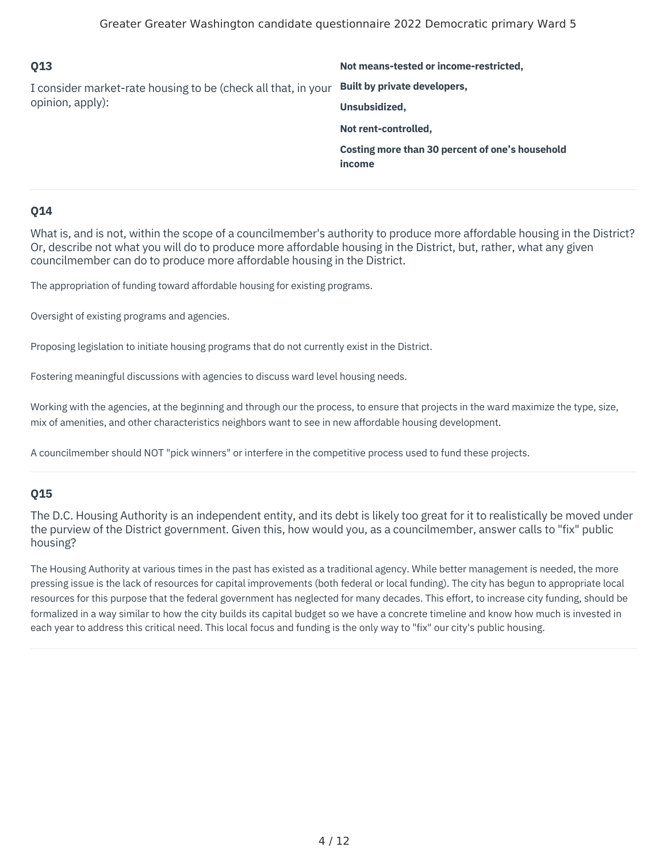| 013                                                                               | Not means-tested or income-restricted,          |
|-----------------------------------------------------------------------------------|-------------------------------------------------|
| I consider market-rate housing to be (check all that, in your<br>opinion, apply): | Built by private developers,                    |
|                                                                                   | Unsubsidized,                                   |
|                                                                                   | Not rent-controlled,                            |
|                                                                                   | Costing more than 30 percent of one's household |
|                                                                                   | income                                          |

What is, and is not, within the scope of a councilmember's authority to produce more affordable housing in the District? Or, describe not what you will do to produce more affordable housing in the District, but, rather, what any given councilmember can do to produce more affordable housing in the District.

The appropriation of funding toward affordable housing for existing programs.

Oversight of existing programs and agencies.

Proposing legislation to initiate housing programs that do not currently exist in the District.

Fostering meaningful discussions with agencies to discuss ward level housing needs.

Working with the agencies, at the beginning and through our the process, to ensure that projects in the ward maximize the type, size, mix of amenities, and other characteristics neighbors want to see in new affordable housing development.

A councilmember should NOT "pick winners" or interfere in the competitive process used to fund these projects.

#### **Q15**

The D.C. Housing Authority is an independent entity, and its debt is likely too great for it to realistically be moved under the purview of the District government. Given this, how would you, as a councilmember, answer calls to "fix" public housing?

The Housing Authority at various times in the past has existed as a traditional agency. While better management is needed, the more pressing issue is the lack of resources for capital improvements (both federal or local funding). The city has begun to appropriate local resources for this purpose that the federal government has neglected for many decades. This effort, to increase city funding, should be formalized in a way similar to how the city builds its capital budget so we have a concrete timeline and know how much is invested in each year to address this critical need. This local focus and funding is the only way to "fix" our city's public housing.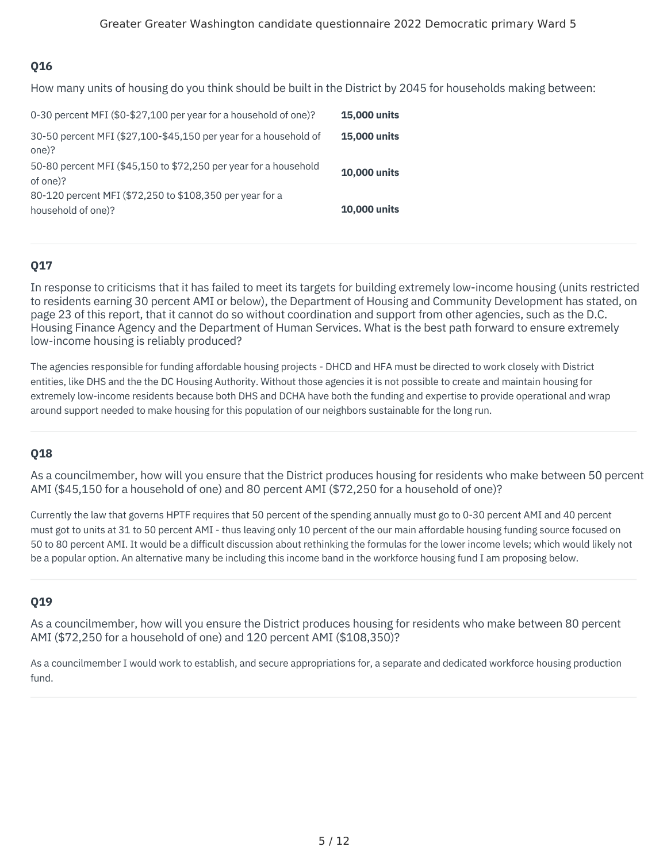How many units of housing do you think should be built in the District by 2045 for households making between:

| 0-30 percent MFI (\$0-\$27,100 per year for a household of one)?               | <b>15,000 units</b> |
|--------------------------------------------------------------------------------|---------------------|
| 30-50 percent MFI (\$27,100-\$45,150 per year for a household of<br>one)?      | <b>15,000 units</b> |
| 50-80 percent MFI (\$45,150 to \$72,250 per year for a household<br>of one)?   | <b>10,000 units</b> |
| 80-120 percent MFI (\$72,250 to \$108,350 per year for a<br>household of one)? | <b>10,000 units</b> |

## **Q17**

In response to criticisms that it has failed to meet its targets for building extremely low-income housing (units restricted to residents earning 30 percent AMI or below), the Department of Housing and Community Development has stated, on page 23 of this report, that it cannot do so without coordination and support from other agencies, such as the D.C. Housing Finance Agency and the Department of Human Services. What is the best path forward to ensure extremely low-income housing is reliably produced?

The agencies responsible for funding affordable housing projects - DHCD and HFA must be directed to work closely with District entities, like DHS and the the DC Housing Authority. Without those agencies it is not possible to create and maintain housing for extremely low-income residents because both DHS and DCHA have both the funding and expertise to provide operational and wrap around support needed to make housing for this population of our neighbors sustainable for the long run.

## **Q18**

As a councilmember, how will you ensure that the District produces housing for residents who make between 50 percent AMI (\$45,150 for a household of one) and 80 percent AMI (\$72,250 for a household of one)?

Currently the law that governs HPTF requires that 50 percent of the spending annually must go to 0-30 percent AMI and 40 percent must got to units at 31 to 50 percent AMI - thus leaving only 10 percent of the our main affordable housing funding source focused on 50 to 80 percent AMI. It would be a difficult discussion about rethinking the formulas for the lower income levels; which would likely not be a popular option. An alternative many be including this income band in the workforce housing fund I am proposing below.

## **Q19**

As a councilmember, how will you ensure the District produces housing for residents who make between 80 percent AMI (\$72,250 for a household of one) and 120 percent AMI (\$108,350)?

As a councilmember I would work to establish, and secure appropriations for, a separate and dedicated workforce housing production fund.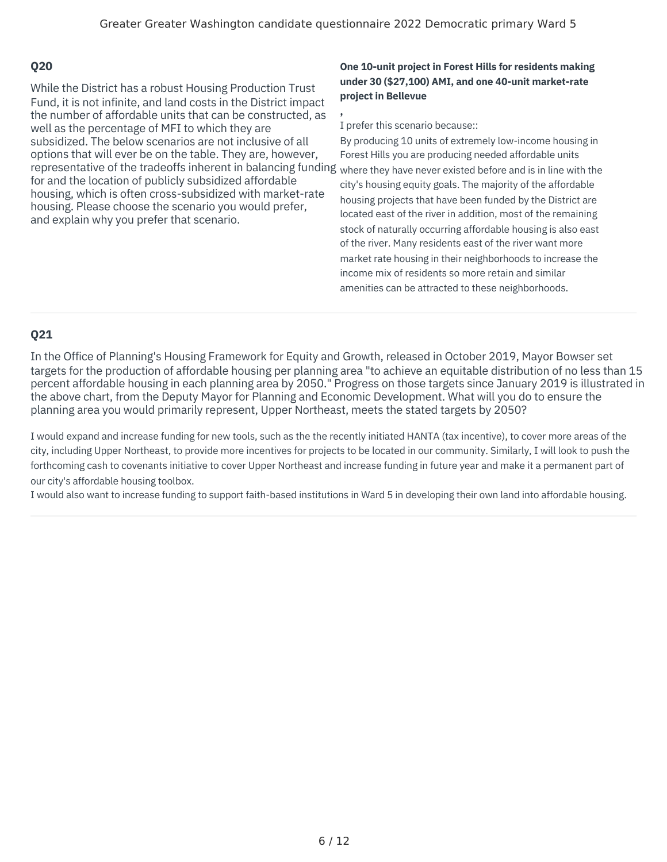representative of the tradeoffs inherent in balancing funding <sub>where they have never existed before and is in line with the</sub> While the District has a robust Housing Production Trust Fund, it is not infinite, and land costs in the District impact the number of affordable units that can be constructed, as well as the percentage of MFI to which they are subsidized. The below scenarios are not inclusive of all options that will ever be on the table. They are, however, for and the location of publicly subsidized affordable housing, which is often cross-subsidized with market-rate housing. Please choose the scenario you would prefer, and explain why you prefer that scenario.

#### **One 10-unit project in Forest Hills for residents making under 30 (\$27,100) AMI, and one 40-unit market-rate project in Bellevue**

**,** I prefer this scenario because::

By producing 10 units of extremely low-income housing in Forest Hills you are producing needed affordable units city's housing equity goals. The majority of the affordable housing projects that have been funded by the District are located east of the river in addition, most of the remaining stock of naturally occurring affordable housing is also east of the river. Many residents east of the river want more market rate housing in their neighborhoods to increase the income mix of residents so more retain and similar amenities can be attracted to these neighborhoods.

# **Q21**

In the Office of Planning's Housing Framework for Equity and Growth, released in October 2019, Mayor Bowser set targets for the production of affordable housing per planning area "to achieve an equitable distribution of no less than 15 percent affordable housing in each planning area by 2050." Progress on those targets since January 2019 is illustrated in the above chart, from the Deputy Mayor for Planning and Economic Development. What will you do to ensure the planning area you would primarily represent, Upper Northeast, meets the stated targets by 2050?

I would expand and increase funding for new tools, such as the the recently initiated HANTA (tax incentive), to cover more areas of the city, including Upper Northeast, to provide more incentives for projects to be located in our community. Similarly, I will look to push the forthcoming cash to covenants initiative to cover Upper Northeast and increase funding in future year and make it a permanent part of our city's affordable housing toolbox.

I would also want to increase funding to support faith-based institutions in Ward 5 in developing their own land into affordable housing.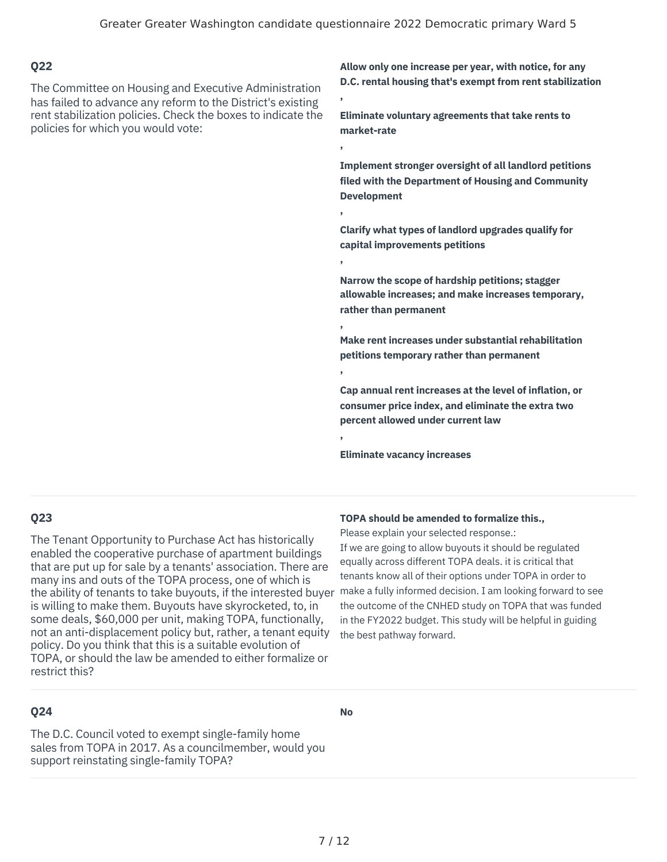**,**

**,**

**,**

**,**

**,**

**,**

**,**

#### **Q22**

The Committee on Housing and Executive Administration has failed to advance any reform to the District's existing rent stabilization policies. Check the boxes to indicate the policies for which you would vote:

**Allow only one increase per year, with notice, for any D.C. rental housing that's exempt from rent stabilization**

**Eliminate voluntary agreements that take rents to market-rate**

**Implement stronger oversight of all landlord petitions filed with the Department of Housing and Community Development**

**Clarify what types of landlord upgrades qualify for capital improvements petitions**

**Narrow the scope of hardship petitions; stagger allowable increases; and make increases temporary, rather than permanent**

**Make rent increases under substantial rehabilitation petitions temporary rather than permanent**

**Cap annual rent increases at the level of inflation, or consumer price index, and eliminate the extra two percent allowed under current law**

**Eliminate vacancy increases**

## **Q23**

the ability of tenants to take buyouts, if the interested buyer make a fully informed decision. I am looking forward to see The Tenant Opportunity to Purchase Act has historically enabled the cooperative purchase of apartment buildings that are put up for sale by a tenants' association. There are many ins and outs of the TOPA process, one of which is is willing to make them. Buyouts have skyrocketed, to, in some deals, \$60,000 per unit, making TOPA, functionally, not an anti-displacement policy but, rather, a tenant equity policy. Do you think that this is a suitable evolution of TOPA, or should the law be amended to either formalize or restrict this?

#### **TOPA should be amended to formalize this.,**

Please explain your selected response.:

If we are going to allow buyouts it should be regulated equally across different TOPA deals. it is critical that tenants know all of their options under TOPA in order to the outcome of the CNHED study on TOPA that was funded in the FY2022 budget. This study will be helpful in guiding the best pathway forward.

#### **Q24**

**No**

The D.C. Council voted to exempt single-family home sales from TOPA in 2017. As a councilmember, would you support reinstating single-family TOPA?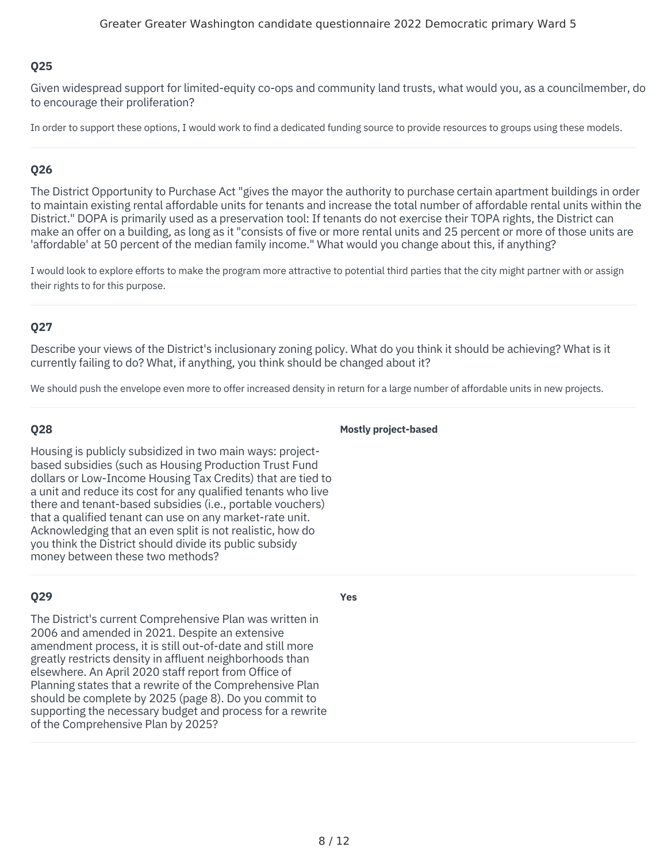Given widespread support for limited-equity co-ops and community land trusts, what would you, as a councilmember, do to encourage their proliferation?

In order to support these options, I would work to find a dedicated funding source to provide resources to groups using these models.

#### **Q26**

The District Opportunity to Purchase Act "gives the mayor the authority to purchase certain apartment buildings in order to maintain existing rental affordable units for tenants and increase the total number of affordable rental units within the District." DOPA is primarily used as a preservation tool: If tenants do not exercise their TOPA rights, the District can make an offer on a building, as long as it "consists of five or more rental units and 25 percent or more of those units are 'affordable' at 50 percent of the median family income." What would you change about this, if anything?

I would look to explore efforts to make the program more attractive to potential third parties that the city might partner with or assign their rights to for this purpose.

#### **Q27**

Describe your views of the District's inclusionary zoning policy. What do you think it should be achieving? What is it currently failing to do? What, if anything, you think should be changed about it?

We should push the envelope even more to offer increased density in return for a large number of affordable units in new projects.

#### **Q28**

Housing is publicly subsidized in two main ways: projectbased subsidies (such as Housing Production Trust Fund dollars or Low-Income Housing Tax Credits) that are tied to a unit and reduce its cost for any qualified tenants who live there and tenant-based subsidies (i.e., portable vouchers) that a qualified tenant can use on any market-rate unit. Acknowledging that an even split is not realistic, how do you think the District should divide its public subsidy money between these two methods?

#### **Q29**

The District's current Comprehensive Plan was written in 2006 and amended in 2021. Despite an extensive amendment process, it is still out-of-date and still more greatly restricts density in affluent neighborhoods than elsewhere. An April 2020 staff report from Office of Planning states that a rewrite of the Comprehensive Plan should be complete by 2025 (page 8). Do you commit to supporting the necessary budget and process for a rewrite of the Comprehensive Plan by 2025?

#### **Yes**

**Mostly project-based**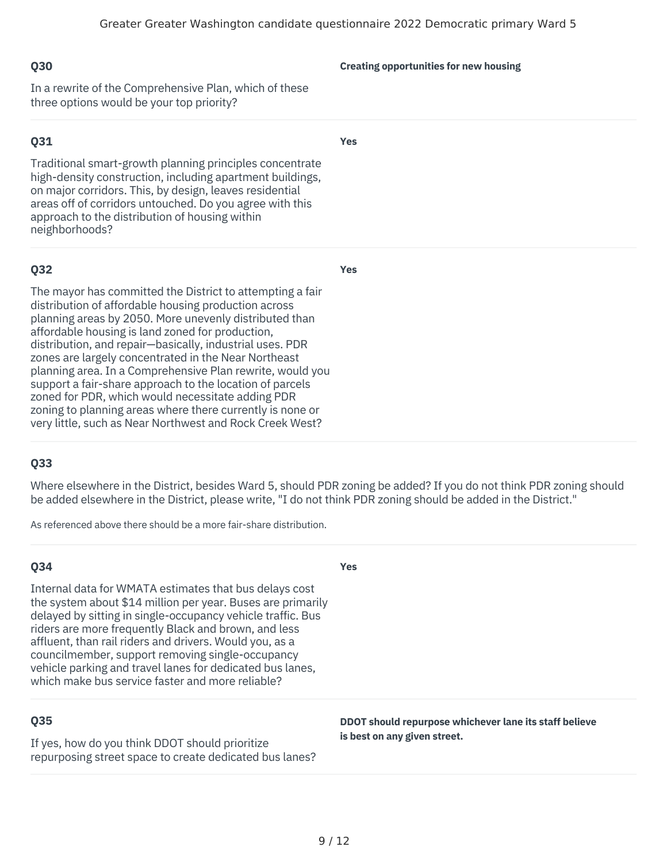In a rewrite of the Comprehensive Plan, which of these three options would be your top priority?

## **Q31**

Traditional smart-growth planning principles concentrate high-density construction, including apartment buildings, on major corridors. This, by design, leaves residential areas off of corridors untouched. Do you agree with this approach to the distribution of housing within neighborhoods?

## **Q32**

The mayor has committed the District to attempting a fair distribution of affordable housing production across planning areas by 2050. More unevenly distributed than affordable housing is land zoned for production, distribution, and repair—basically, industrial uses. PDR zones are largely concentrated in the Near Northeast planning area. In a Comprehensive Plan rewrite, would you support a fair-share approach to the location of parcels zoned for PDR, which would necessitate adding PDR zoning to planning areas where there currently is none or very little, such as Near Northwest and Rock Creek West?

## **Q33**

Where elsewhere in the District, besides Ward 5, should PDR zoning be added? If you do not think PDR zoning should be added elsewhere in the District, please write, "I do not think PDR zoning should be added in the District."

**Yes**

As referenced above there should be a more fair-share distribution.

## **Q34**

Internal data for WMATA estimates that bus delays cost the system about \$14 million per year. Buses are primarily delayed by sitting in single-occupancy vehicle traffic. Bus riders are more frequently Black and brown, and less affluent, than rail riders and drivers. Would you, as a councilmember, support removing single-occupancy vehicle parking and travel lanes for dedicated bus lanes, which make bus service faster and more reliable?

# **Q35**

If yes, how do you think DDOT should prioritize repurposing street space to create dedicated bus lanes? **DDOT should repurpose whichever lane its staff believe is best on any given street.**

#### **Creating opportunities for new housing**

**Yes**

**Yes**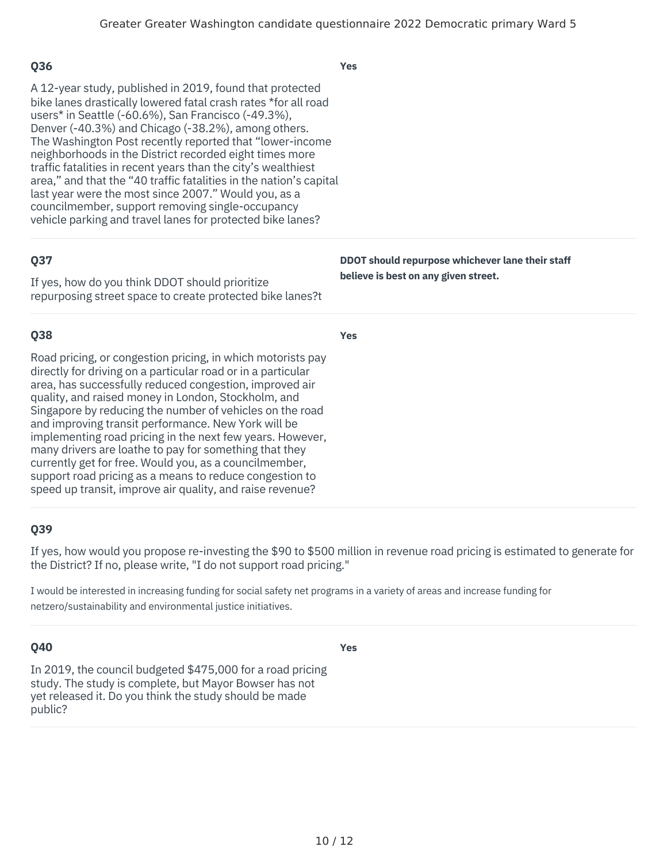| <b>Q36</b>                                                                                                                                                                                                                                                                                                                                                                                                                                                                                                                                                                                                                                                                        | <b>Yes</b>                                                                               |
|-----------------------------------------------------------------------------------------------------------------------------------------------------------------------------------------------------------------------------------------------------------------------------------------------------------------------------------------------------------------------------------------------------------------------------------------------------------------------------------------------------------------------------------------------------------------------------------------------------------------------------------------------------------------------------------|------------------------------------------------------------------------------------------|
| A 12-year study, published in 2019, found that protected<br>bike lanes drastically lowered fatal crash rates *for all road<br>users* in Seattle (-60.6%), San Francisco (-49.3%),<br>Denver (-40.3%) and Chicago (-38.2%), among others.<br>The Washington Post recently reported that "lower-income"<br>neighborhoods in the District recorded eight times more<br>traffic fatalities in recent years than the city's wealthiest<br>area," and that the "40 traffic fatalities in the nation's capital<br>last year were the most since 2007." Would you, as a<br>councilmember, support removing single-occupancy<br>vehicle parking and travel lanes for protected bike lanes? |                                                                                          |
| Q37<br>If yes, how do you think DDOT should prioritize<br>repurposing street space to create protected bike lanes?t                                                                                                                                                                                                                                                                                                                                                                                                                                                                                                                                                               | DDOT should repurpose whichever lane their staff<br>believe is best on any given street. |
| <b>Q38</b>                                                                                                                                                                                                                                                                                                                                                                                                                                                                                                                                                                                                                                                                        | <b>Yes</b>                                                                               |
| Road pricing, or congestion pricing, in which motorists pay<br>directly for driving on a particular road or in a particular<br>area, has successfully reduced congestion, improved air<br>quality, and raised money in London, Stockholm, and<br>Singapore by reducing the number of vehicles on the road<br>and improving transit performance. New York will be<br>implementing road pricing in the next few years. However,<br>many drivers are loathe to pay for something that they                                                                                                                                                                                           |                                                                                          |

If yes, how would you propose re-investing the \$90 to \$500 million in revenue road pricing is estimated to generate for the District? If no, please write, "I do not support road pricing."

I would be interested in increasing funding for social safety net programs in a variety of areas and increase funding for netzero/sustainability and environmental justice initiatives.

#### **Q40**

**Yes**

In 2019, the council budgeted \$475,000 for a road pricing study. The study is complete, but Mayor Bowser has not yet released it. Do you think the study should be made public?

support road pricing as a means to reduce congestion to speed up transit, improve air quality, and raise revenue?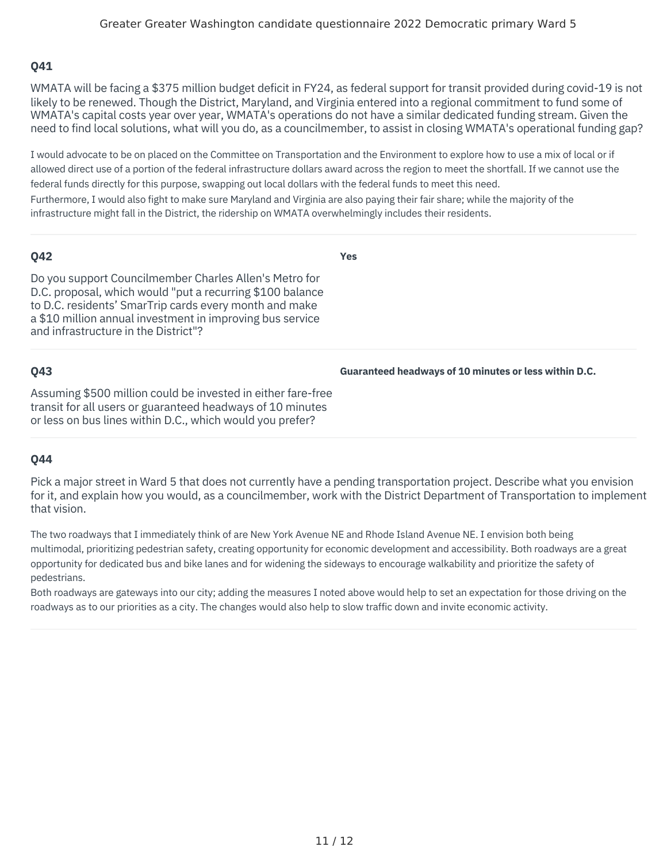WMATA will be facing a \$375 million budget deficit in FY24, as federal support for transit provided during covid-19 is not likely to be renewed. Though the District, Maryland, and Virginia entered into a regional commitment to fund some of WMATA's capital costs year over year, WMATA's operations do not have a similar dedicated funding stream. Given the need to find local solutions, what will you do, as a councilmember, to assist in closing WMATA's operational funding gap?

I would advocate to be on placed on the Committee on Transportation and the Environment to explore how to use a mix of local or if allowed direct use of a portion of the federal infrastructure dollars award across the region to meet the shortfall. If we cannot use the federal funds directly for this purpose, swapping out local dollars with the federal funds to meet this need. Furthermore, I would also fight to make sure Maryland and Virginia are also paying their fair share; while the majority of the infrastructure might fall in the District, the ridership on WMATA overwhelmingly includes their residents.

#### **Q42**

**Yes**

Do you support Councilmember Charles Allen's Metro for D.C. proposal, which would "put a recurring \$100 balance to D.C. residents' SmarTrip cards every month and make a \$10 million annual investment in improving bus service and infrastructure in the District"?

## **Q43**

**Guaranteed headways of 10 minutes or less within D.C.**

Assuming \$500 million could be invested in either fare-free transit for all users or guaranteed headways of 10 minutes or less on bus lines within D.C., which would you prefer?

# **Q44**

Pick a major street in Ward 5 that does not currently have a pending transportation project. Describe what you envision for it, and explain how you would, as a councilmember, work with the District Department of Transportation to implement that vision.

The two roadways that I immediately think of are New York Avenue NE and Rhode Island Avenue NE. I envision both being multimodal, prioritizing pedestrian safety, creating opportunity for economic development and accessibility. Both roadways are a great opportunity for dedicated bus and bike lanes and for widening the sideways to encourage walkability and prioritize the safety of pedestrians.

Both roadways are gateways into our city; adding the measures I noted above would help to set an expectation for those driving on the roadways as to our priorities as a city. The changes would also help to slow traffic down and invite economic activity.